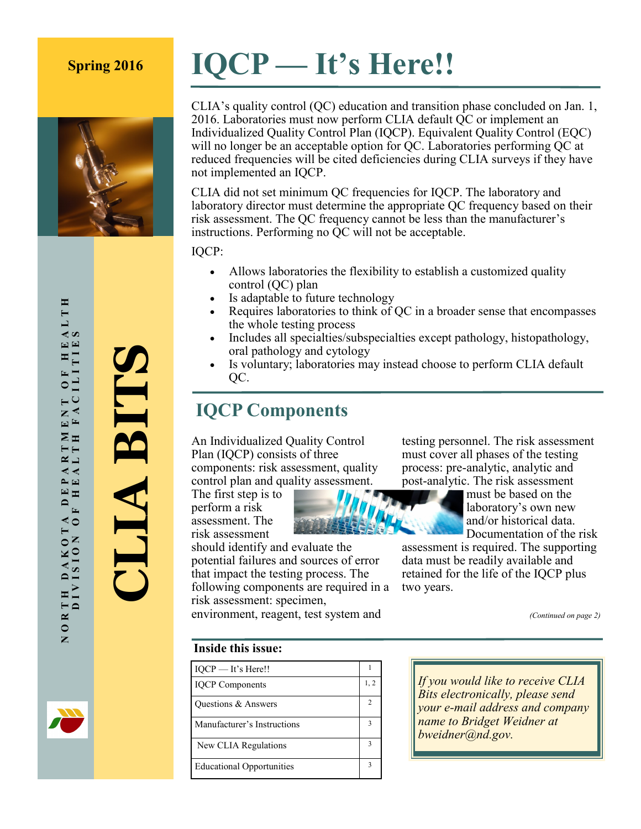# **Spring 2016 IQCP — It's Here!!**



CLIA's quality control (QC) education and transition phase concluded on Jan. 1, 2016. Laboratories must now perform CLIA default QC or implement an Individualized Quality Control Plan (IQCP). Equivalent Quality Control (EQC) will no longer be an acceptable option for QC. Laboratories performing QC at reduced frequencies will be cited deficiencies during CLIA surveys if they have

CLIA did not set minimum QC frequencies for IQCP. The laboratory and laboratory director must determine the appropriate QC frequency based on their risk assessment. The QC frequency cannot be less than the manufacturer's instructions. Performing no QC will not be acceptable.

IQCP:

- Allows laboratories the flexibility to establish a customized quality control (QC) plan
- Is adaptable to future technology
- Requires laboratories to think of QC in a broader sense that encompasses the whole testing process
- Includes all specialties/subspecialties except pathology, histopathology, oral pathology and cytology
- Is voluntary; laboratories may instead choose to perform CLIA default QC.

#### **IQCP Components**

not implemented an IQCP.

An Individualized Quality Control Plan (IQCP) consists of three components: risk assessment, quality control plan and quality assessment.

The first step is to perform a risk assessment. The risk assessment should identify and evaluate the potential failures and sources of error that impact the testing process. The following components are required in a

risk assessment: specimen,

testing personnel. The risk assessment must cover all phases of the testing process: pre-analytic, analytic and post-analytic. The risk assessment

must be based on the laboratory's own new and/or historical data. Documentation of the risk

assessment is required. The supporting data must be readily available and retained for the life of the IQCP plus two years.

*(Continued on page 2)*

#### **Inside this issue:**

| IQCP - It's Here!!               |               |
|----------------------------------|---------------|
| <b>IQCP</b> Components           | 1, 2          |
| Questions & Answers              | $\mathcal{D}$ |
| Manufacturer's Instructions      | 3             |
| New CLIA Regulations             | 3             |
| <b>Educational Opportunities</b> | 3             |

environment, reagent, test system and

*If you would like to receive CLIA Bits electronically, please send your e-mail address and company name to Bridget Weidner at bweidner@nd.gov.*

**CLIA BITS**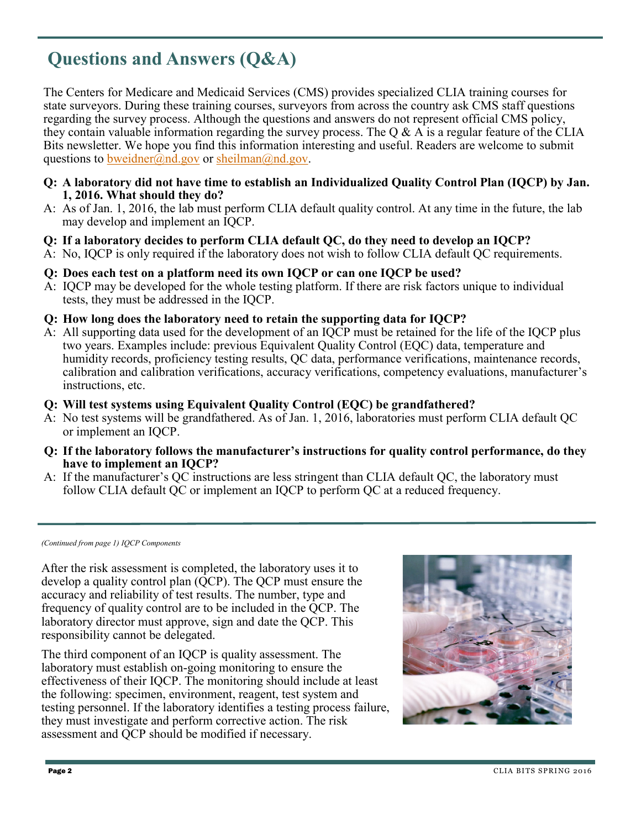## **Questions and Answers (Q&A)**

The Centers for Medicare and Medicaid Services (CMS) provides specialized CLIA training courses for state surveyors. During these training courses, surveyors from across the country ask CMS staff questions regarding the survey process. Although the questions and answers do not represent official CMS policy, they contain valuable information regarding the survey process. The  $\overline{O} \& A$  is a regular feature of the CLIA Bits newsletter. We hope you find this information interesting and useful. Readers are welcome to submit questions to [bweidner@nd.gov](mailto:bweidner@nd.gov) or [sheilman@nd.gov.](mailto:sheilman@nd.gov)

- **Q: A laboratory did not have time to establish an Individualized Quality Control Plan (IQCP) by Jan. 1, 2016. What should they do?**
- A: As of Jan. 1, 2016, the lab must perform CLIA default quality control. At any time in the future, the lab may develop and implement an IQCP.
- **Q: If a laboratory decides to perform CLIA default QC, do they need to develop an IQCP?**
- A: No, IQCP is only required if the laboratory does not wish to follow CLIA default QC requirements.
- **Q: Does each test on a platform need its own IQCP or can one IQCP be used?**
- A: IQCP may be developed for the whole testing platform. If there are risk factors unique to individual tests, they must be addressed in the IQCP.
- **Q: How long does the laboratory need to retain the supporting data for IQCP?**
- A: All supporting data used for the development of an IQCP must be retained for the life of the IQCP plus two years. Examples include: previous Equivalent Quality Control (EQC) data, temperature and humidity records, proficiency testing results, OC data, performance verifications, maintenance records. calibration and calibration verifications, accuracy verifications, competency evaluations, manufacturer's instructions, etc.
- **Q: Will test systems using Equivalent Quality Control (EQC) be grandfathered?**
- A: No test systems will be grandfathered. As of Jan. 1, 2016, laboratories must perform CLIA default QC or implement an IQCP.
- **Q: If the laboratory follows the manufacturer's instructions for quality control performance, do they have to implement an IQCP?**
- A: If the manufacturer's QC instructions are less stringent than CLIA default QC, the laboratory must follow CLIA default QC or implement an IQCP to perform QC at a reduced frequency.

*(Continued from page 1) IQCP Components*

After the risk assessment is completed, the laboratory uses it to develop a quality control plan (QCP). The QCP must ensure the accuracy and reliability of test results. The number, type and frequency of quality control are to be included in the QCP. The laboratory director must approve, sign and date the QCP. This responsibility cannot be delegated.

The third component of an IQCP is quality assessment. The laboratory must establish on-going monitoring to ensure the effectiveness of their IQCP. The monitoring should include at least the following: specimen, environment, reagent, test system and testing personnel. If the laboratory identifies a testing process failure, they must investigate and perform corrective action. The risk assessment and QCP should be modified if necessary.